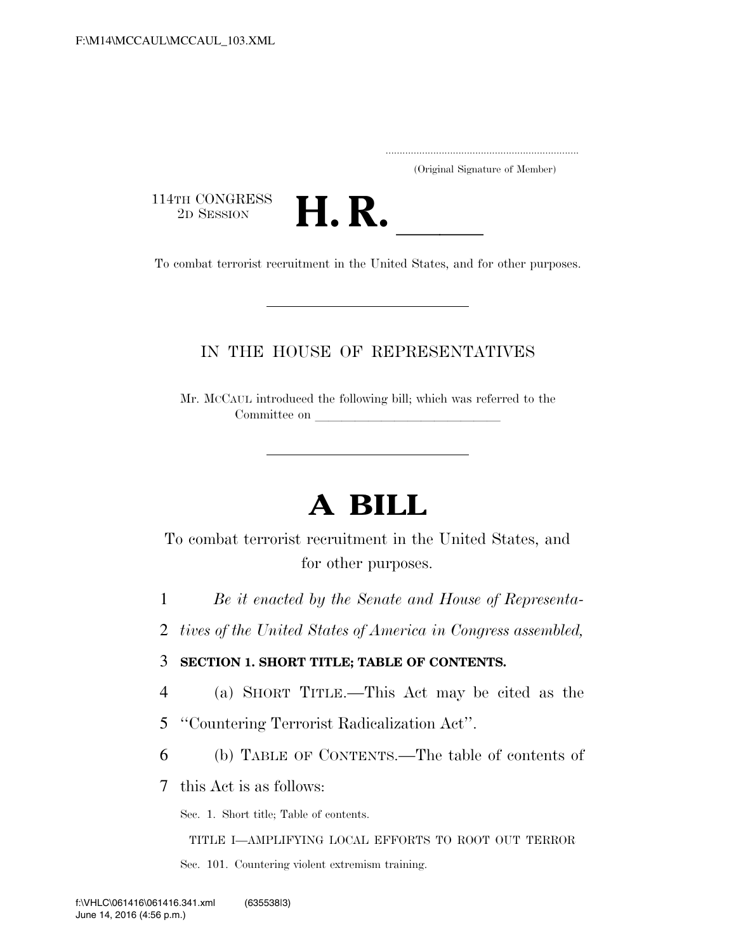.....................................................................

(Original Signature of Member)

114TH CONGRESS<br>2D SESSION



THE CONGRESS<br>
2D SESSION<br>
To combat terrorist recruitment in the United States, and for other purposes.

### IN THE HOUSE OF REPRESENTATIVES

Mr. MCCAUL introduced the following bill; which was referred to the Committee on

# **A BILL**

To combat terrorist recruitment in the United States, and for other purposes.

- 1 *Be it enacted by the Senate and House of Representa-*
- 2 *tives of the United States of America in Congress assembled,*

3 **SECTION 1. SHORT TITLE; TABLE OF CONTENTS.** 

- 4 (a) SHORT TITLE.—This Act may be cited as the
- 5 ''Countering Terrorist Radicalization Act''.
- 6 (b) TABLE OF CONTENTS.—The table of contents of
- 7 this Act is as follows:

Sec. 1. Short title; Table of contents.

TITLE I—AMPLIFYING LOCAL EFFORTS TO ROOT OUT TERROR Sec. 101. Countering violent extremism training.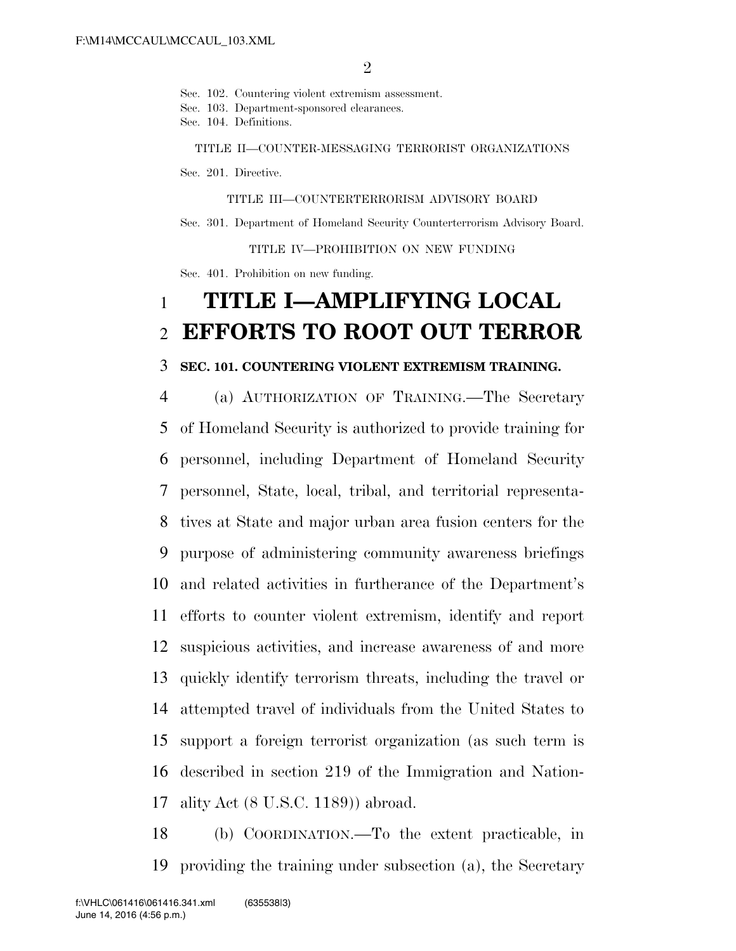Sec. 102. Countering violent extremism assessment.

Sec. 103. Department-sponsored clearances.

Sec. 104. Definitions.

TITLE II—COUNTER-MESSAGING TERRORIST ORGANIZATIONS

Sec. 201. Directive.

TITLE III—COUNTERTERRORISM ADVISORY BOARD

Sec. 301. Department of Homeland Security Counterterrorism Advisory Board.

TITLE IV—PROHIBITION ON NEW FUNDING

Sec. 401. Prohibition on new funding.

## 1 **TITLE I—AMPLIFYING LOCAL**  2 **EFFORTS TO ROOT OUT TERROR**

#### 3 **SEC. 101. COUNTERING VIOLENT EXTREMISM TRAINING.**

 (a) AUTHORIZATION OF TRAINING.—The Secretary of Homeland Security is authorized to provide training for personnel, including Department of Homeland Security personnel, State, local, tribal, and territorial representa- tives at State and major urban area fusion centers for the purpose of administering community awareness briefings and related activities in furtherance of the Department's efforts to counter violent extremism, identify and report suspicious activities, and increase awareness of and more quickly identify terrorism threats, including the travel or attempted travel of individuals from the United States to support a foreign terrorist organization (as such term is described in section 219 of the Immigration and Nation-ality Act (8 U.S.C. 1189)) abroad.

18 (b) COORDINATION.—To the extent practicable, in 19 providing the training under subsection (a), the Secretary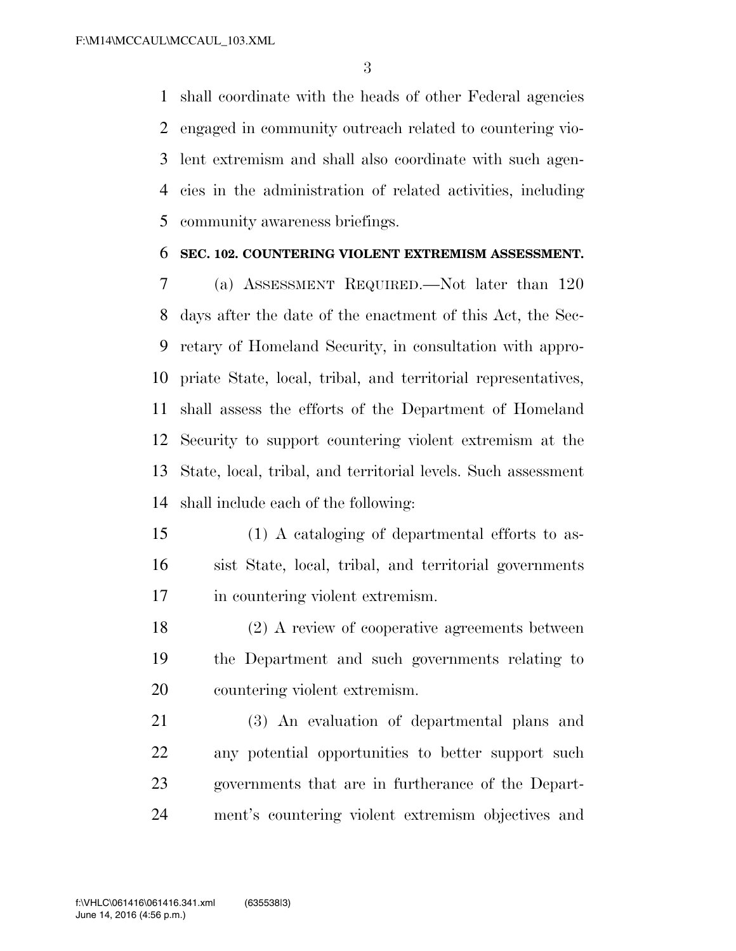shall coordinate with the heads of other Federal agencies engaged in community outreach related to countering vio- lent extremism and shall also coordinate with such agen- cies in the administration of related activities, including community awareness briefings.

#### **SEC. 102. COUNTERING VIOLENT EXTREMISM ASSESSMENT.**

 (a) ASSESSMENT REQUIRED.—Not later than 120 days after the date of the enactment of this Act, the Sec- retary of Homeland Security, in consultation with appro- priate State, local, tribal, and territorial representatives, shall assess the efforts of the Department of Homeland Security to support countering violent extremism at the State, local, tribal, and territorial levels. Such assessment shall include each of the following:

- (1) A cataloging of departmental efforts to as- sist State, local, tribal, and territorial governments in countering violent extremism.
- (2) A review of cooperative agreements between the Department and such governments relating to countering violent extremism.

 (3) An evaluation of departmental plans and any potential opportunities to better support such governments that are in furtherance of the Depart-ment's countering violent extremism objectives and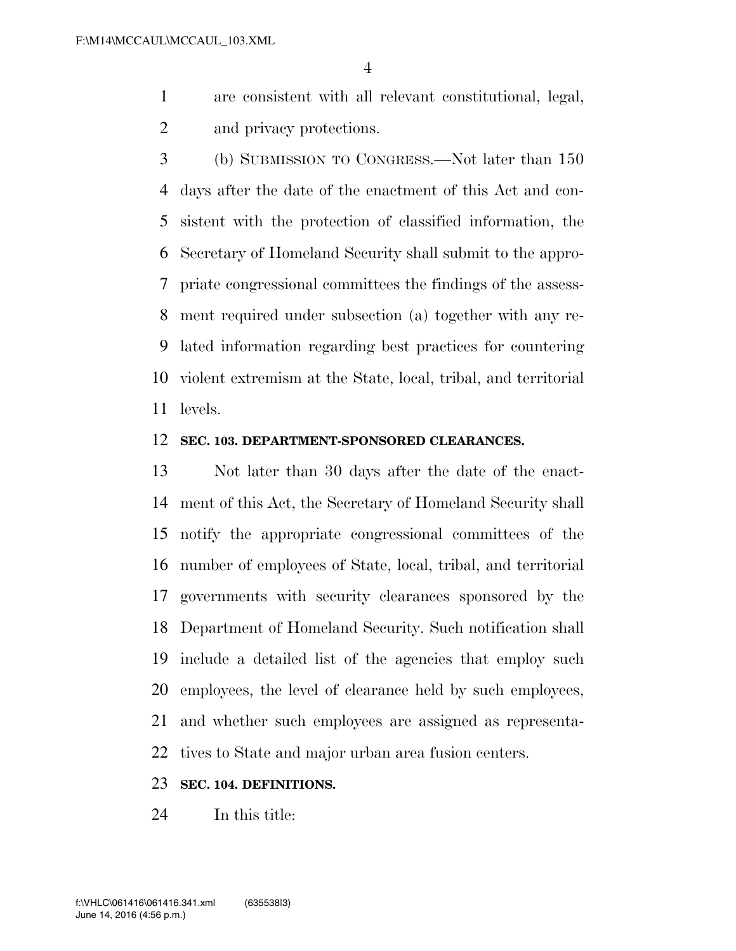- are consistent with all relevant constitutional, legal, and privacy protections.
- (b) SUBMISSION TO CONGRESS.—Not later than 150 days after the date of the enactment of this Act and con- sistent with the protection of classified information, the Secretary of Homeland Security shall submit to the appro- priate congressional committees the findings of the assess- ment required under subsection (a) together with any re- lated information regarding best practices for countering violent extremism at the State, local, tribal, and territorial levels.

#### **SEC. 103. DEPARTMENT-SPONSORED CLEARANCES.**

 Not later than 30 days after the date of the enact- ment of this Act, the Secretary of Homeland Security shall notify the appropriate congressional committees of the number of employees of State, local, tribal, and territorial governments with security clearances sponsored by the Department of Homeland Security. Such notification shall include a detailed list of the agencies that employ such employees, the level of clearance held by such employees, and whether such employees are assigned as representa-tives to State and major urban area fusion centers.

#### **SEC. 104. DEFINITIONS.**

In this title: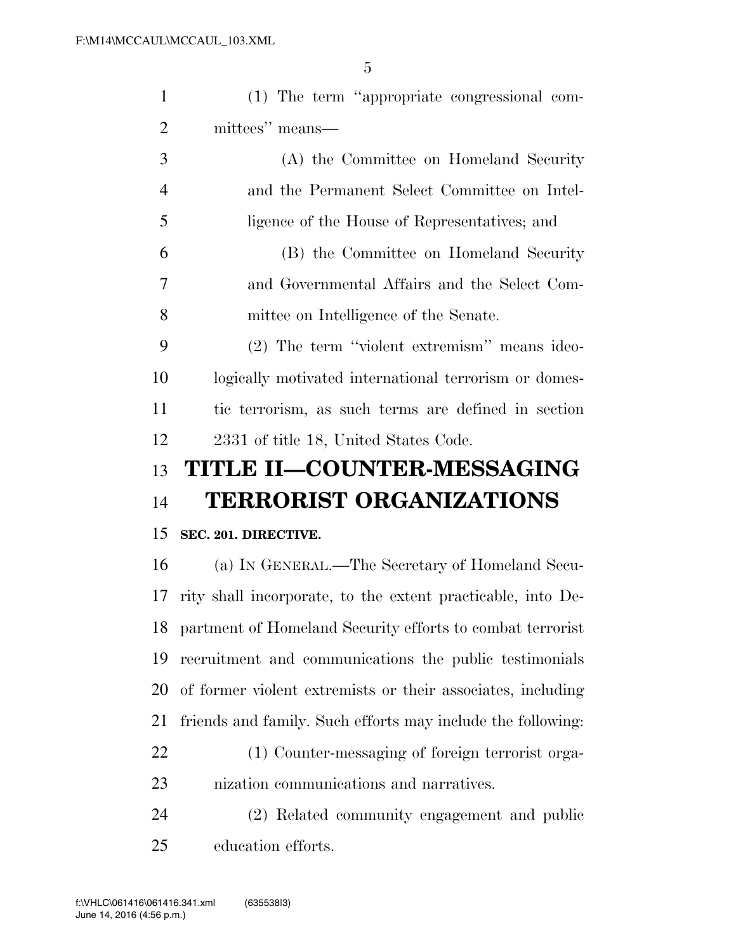| $\mathbf{1}$   | (1) The term "appropriate congressional com-                |
|----------------|-------------------------------------------------------------|
| $\overline{2}$ | mittees" means—                                             |
| 3              | (A) the Committee on Homeland Security                      |
| $\overline{4}$ | and the Permanent Select Committee on Intel-                |
| 5              | ligence of the House of Representatives; and                |
| 6              | (B) the Committee on Homeland Security                      |
| 7              | and Governmental Affairs and the Select Com-                |
| 8              | mittee on Intelligence of the Senate.                       |
| 9              | (2) The term "violent extremism" means ideo-                |
| 10             | logically motivated international terrorism or domes-       |
| 11             | tic terrorism, as such terms are defined in section         |
| 12             | 2331 of title 18, United States Code.                       |
|                |                                                             |
| 13             | TITLE II-COUNTER-MESSAGING                                  |
| 14             | <b>TERRORIST ORGANIZATIONS</b>                              |
| 15             | SEC. 201. DIRECTIVE.                                        |
| 16             | (a) IN GENERAL.—The Secretary of Homeland Secu-             |
| 17             | rity shall incorporate, to the extent practicable, into De- |
| 18             | partment of Homeland Security efforts to combat terrorist   |
| 19             | recruitment and communications the public testimonials      |
| 20             | of former violent extremists or their associates, including |
| 21             | friends and family. Such efforts may include the following: |
| 22             | (1) Counter-messaging of foreign terrorist orga-            |
| 23             | nization communications and narratives.                     |
| 24             | (2) Related community engagement and public                 |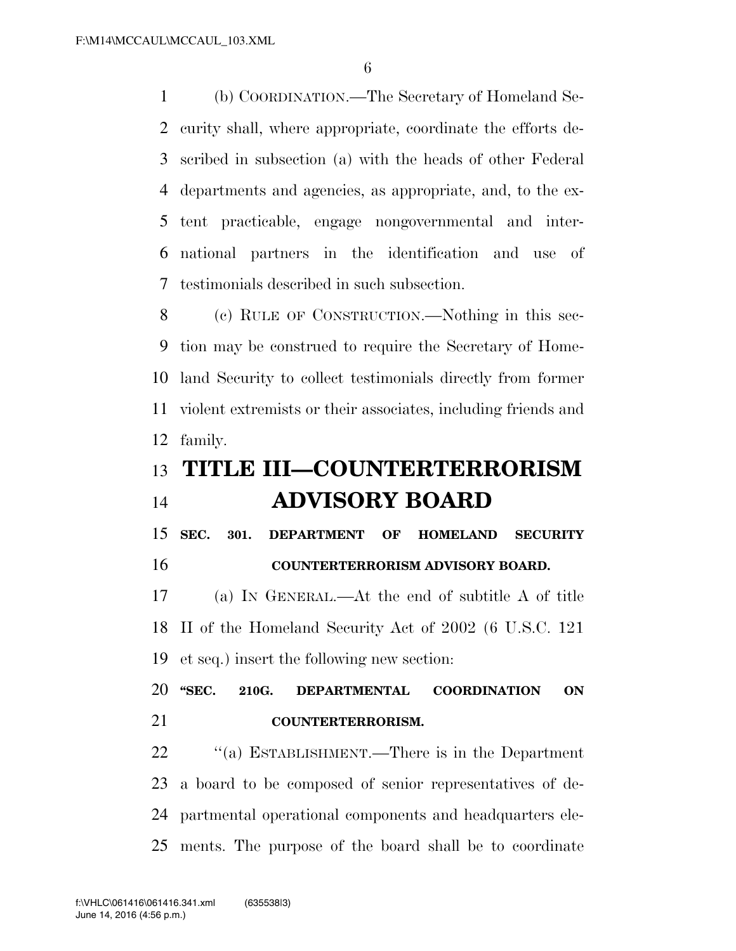(b) COORDINATION.—The Secretary of Homeland Se- curity shall, where appropriate, coordinate the efforts de- scribed in subsection (a) with the heads of other Federal departments and agencies, as appropriate, and, to the ex- tent practicable, engage nongovernmental and inter- national partners in the identification and use of testimonials described in such subsection.

 (c) RULE OF CONSTRUCTION.—Nothing in this sec- tion may be construed to require the Secretary of Home- land Security to collect testimonials directly from former violent extremists or their associates, including friends and family.

### **TITLE III—COUNTERTERRORISM ADVISORY BOARD**

 **SEC. 301. DEPARTMENT OF HOMELAND SECURITY COUNTERTERRORISM ADVISORY BOARD.** 

 (a) IN GENERAL.—At the end of subtitle A of title II of the Homeland Security Act of 2002 (6 U.S.C. 121 et seq.) insert the following new section:

 **''SEC. 210G. DEPARTMENTAL COORDINATION ON COUNTERTERRORISM.** 

 ''(a) ESTABLISHMENT.—There is in the Department a board to be composed of senior representatives of de- partmental operational components and headquarters ele-ments. The purpose of the board shall be to coordinate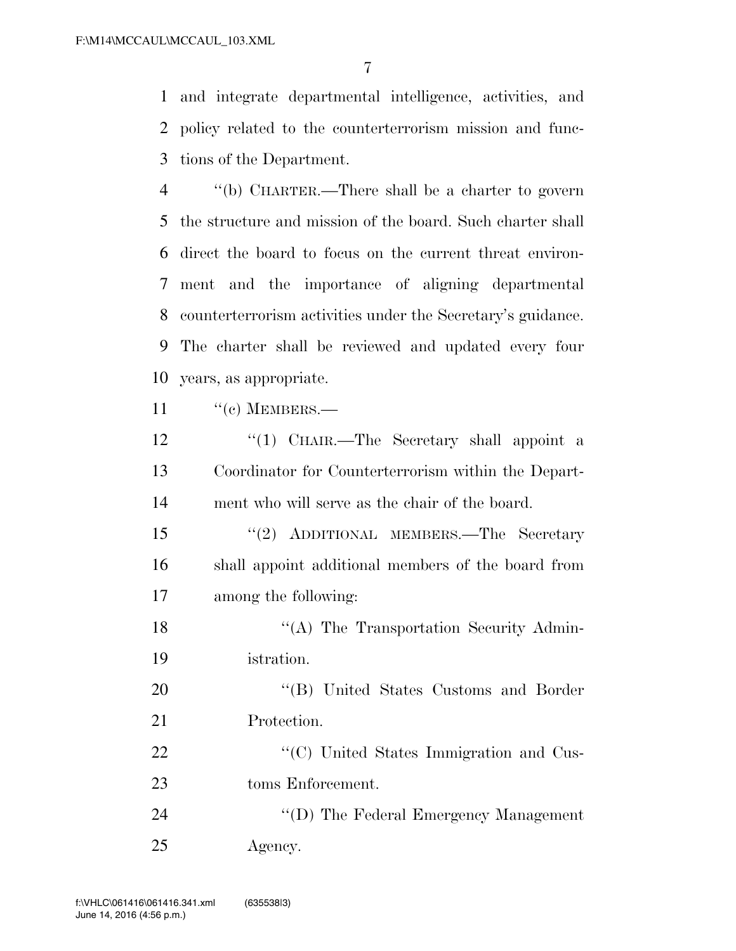and integrate departmental intelligence, activities, and policy related to the counterterrorism mission and func-tions of the Department.

 ''(b) CHARTER.—There shall be a charter to govern the structure and mission of the board. Such charter shall direct the board to focus on the current threat environ- ment and the importance of aligning departmental counterterrorism activities under the Secretary's guidance. The charter shall be reviewed and updated every four years, as appropriate.

11 " (c) MEMBERS.—

12 "(1) CHAIR.—The Secretary shall appoint a Coordinator for Counterterrorism within the Depart-ment who will serve as the chair of the board.

 ''(2) ADDITIONAL MEMBERS.—The Secretary shall appoint additional members of the board from among the following:

18 "(A) The Transportation Security Admin-istration.

20 "'(B) United States Customs and Border Protection.

22  $\cdot$  (C) United States Immigration and Cus-toms Enforcement.

24  $''(D)$  The Federal Emergency Management Agency.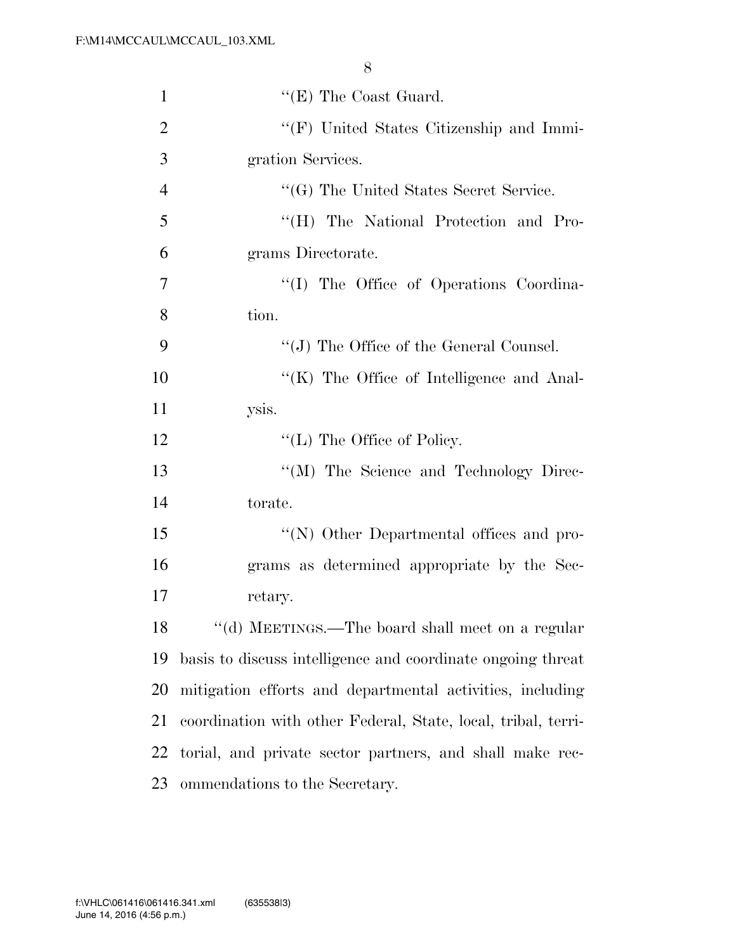| $\mathbf{1}$   | $\lq\lq$ (E) The Coast Guard.                                 |
|----------------|---------------------------------------------------------------|
| $\overline{2}$ | $\lq\lq(F)$ United States Citizenship and Immi-               |
| 3              | gration Services.                                             |
| $\overline{4}$ | "(G) The United States Secret Service.                        |
| 5              | "(H) The National Protection and Pro-                         |
| 6              | grams Directorate.                                            |
| 7              | "(I) The Office of Operations Coordina-                       |
| 8              | tion.                                                         |
| 9              | $\lq\lq$ (J) The Office of the General Counsel.               |
| 10             | "(K) The Office of Intelligence and Anal-                     |
| 11             | ysis.                                                         |
| 12             | $\lq\lq$ (L) The Office of Policy.                            |
| 13             | "(M) The Science and Technology Direc-                        |
| 14             | torate.                                                       |
| 15             | "(N) Other Departmental offices and pro-                      |
| 16             | grams as determined appropriate by the Sec-                   |
| 17             | retary.                                                       |
| 18             | "(d) MEETINGS.—The board shall meet on a regular              |
| 19             | basis to discuss intelligence and coordinate ongoing threat   |
| 20             | mitigation efforts and departmental activities, including     |
| 21             | coordination with other Federal, State, local, tribal, terri- |
| 22             | torial, and private sector partners, and shall make rec-      |
| 23             | ommendations to the Secretary.                                |